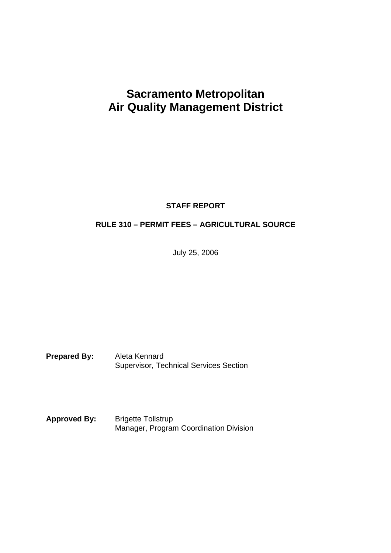# **Sacramento Metropolitan Air Quality Management District**

**STAFF REPORT**

## **RULE 310 – PERMIT FEES – AGRICULTURAL SOURCE**

July 25, 2006

**Prepared By:** Aleta Kennard Supervisor, Technical Services Section

Approved By: Brigette Tollstrup Manager, Program Coordination Division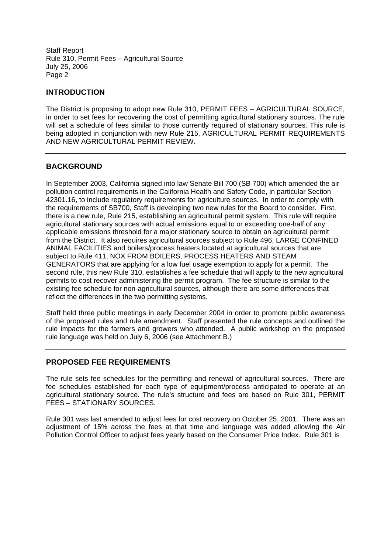#### **INTRODUCTION**

The District is proposing to adopt new Rule 310, PERMIT FEES – AGRICULTURAL SOURCE, in order to set fees for recovering the cost of permitting agricultural stationary sources. The rule will set a schedule of fees similar to those currently required of stationary sources. This rule is being adopted in conjunction with new Rule 215, AGRICULTURAL PERMIT REQUIREMENTS AND NEW AGRICULTURAL PERMIT REVIEW.

#### **BACKGROUND**

In September 2003, California signed into law Senate Bill 700 (SB 700) which amended the air pollution control requirements in the California Health and Safety Code, in particular Section 42301.16, to include regulatory requirements for agriculture sources. In order to comply with the requirements of SB700, Staff is developing two new rules for the Board to consider. First, there is a new rule, Rule 215, establishing an agricultural permit system. This rule will require agricultural stationary sources with actual emissions equal to or exceeding one-half of any applicable emissions threshold for a major stationary source to obtain an agricultural permit from the District. It also requires agricultural sources subject to Rule 496, LARGE CONFINED ANIMAL FACILITIES and boilers/process heaters located at agricultural sources that are subject to Rule 411, NOX FROM BOILERS, PROCESS HEATERS AND STEAM GENERATORS that are applying for a low fuel usage exemption to apply for a permit. The second rule, this new Rule 310, establishes a fee schedule that will apply to the new agricultural permits to cost recover administering the permit program. The fee structure is similar to the existing fee schedule for non-agricultural sources, although there are some differences that reflect the differences in the two permitting systems.

Staff held three public meetings in early December 2004 in order to promote public awareness of the proposed rules and rule amendment. Staff presented the rule concepts and outlined the rule impacts for the farmers and growers who attended. A public workshop on the proposed rule language was held on July 6, 2006 (see Attachment B.)

#### **PROPOSED FEE REQUIREMENTS**

The rule sets fee schedules for the permitting and renewal of agricultural sources. There are fee schedules established for each type of equipment/process anticipated to operate at an agricultural stationary source. The rule's structure and fees are based on Rule 301, PERMIT FEES – STATIONARY SOURCES.

Rule 301 was last amended to adjust fees for cost recovery on October 25, 2001. There was an adjustment of 15% across the fees at that time and language was added allowing the Air Pollution Control Officer to adjust fees yearly based on the Consumer Price Index. Rule 301 is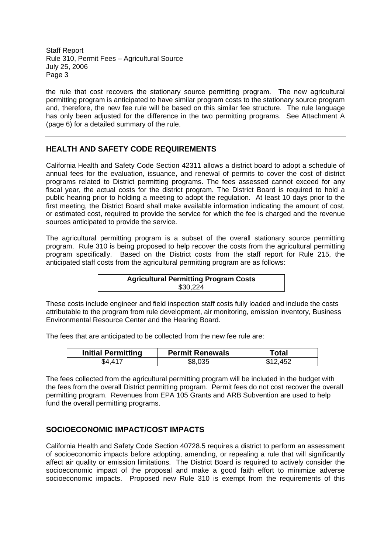the rule that cost recovers the stationary source permitting program. The new agricultural permitting program is anticipated to have similar program costs to the stationary source program and, therefore, the new fee rule will be based on this similar fee structure. The rule language has only been adjusted for the difference in the two permitting programs. See Attachment A (page 6) for a detailed summary of the rule.

## **HEALTH AND SAFETY CODE REQUIREMENTS**

California Health and Safety Code Section 42311 allows a district board to adopt a schedule of annual fees for the evaluation, issuance, and renewal of permits to cover the cost of district programs related to District permitting programs. The fees assessed cannot exceed for any fiscal year, the actual costs for the district program. The District Board is required to hold a public hearing prior to holding a meeting to adopt the regulation. At least 10 days prior to the first meeting, the District Board shall make available information indicating the amount of cost, or estimated cost, required to provide the service for which the fee is charged and the revenue sources anticipated to provide the service.

The agricultural permitting program is a subset of the overall stationary source permitting program. Rule 310 is being proposed to help recover the costs from the agricultural permitting program specifically. Based on the District costs from the staff report for Rule 215, the anticipated staff costs from the agricultural permitting program are as follows:

## **Agricultural Permitting Program Costs** \$30,224

These costs include engineer and field inspection staff costs fully loaded and include the costs attributable to the program from rule development, air monitoring, emission inventory, Business Environmental Resource Center and the Hearing Board.

The fees that are anticipated to be collected from the new fee rule are:

| <b>Initial Permitting</b> | <b>Permit Renewals</b> | <sup>-</sup> otal |
|---------------------------|------------------------|-------------------|
| S4 41                     |                        |                   |

The fees collected from the agricultural permitting program will be included in the budget with the fees from the overall District permitting program. Permit fees do not cost recover the overall permitting program. Revenues from EPA 105 Grants and ARB Subvention are used to help fund the overall permitting programs.

#### **SOCIOECONOMIC IMPACT/COST IMPACTS**

California Health and Safety Code Section 40728.5 requires a district to perform an assessment of socioeconomic impacts before adopting, amending, or repealing a rule that will significantly affect air quality or emission limitations. The District Board is required to actively consider the socioeconomic impact of the proposal and make a good faith effort to minimize adverse socioeconomic impacts. Proposed new Rule 310 is exempt from the requirements of this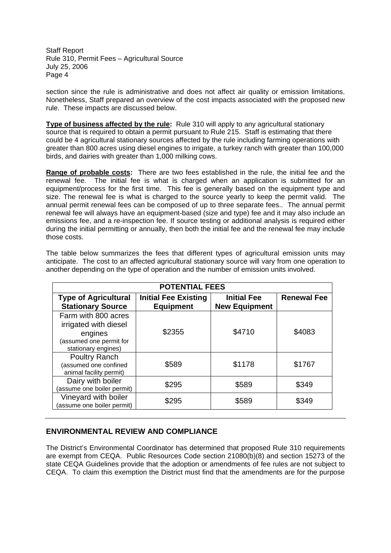section since the rule is administrative and does not affect air quality or emission limitations. Nonetheless, Staff prepared an overview of the cost impacts associated with the proposed new rule. These impacts are discussed below.

**Type of business affected by the rule:** Rule 310 will apply to any agricultural stationary source that is required to obtain a permit pursuant to Rule 215. Staff is estimating that there could be 4 agricultural stationary sources affected by the rule including farming operations with greater than 800 acres using diesel engines to irrigate, a turkey ranch with greater than 100,000 birds, and dairies with greater than 1,000 milking cows.

**Range of probable costs:** There are two fees established in the rule, the initial fee and the renewal fee. The initial fee is what is charged when an application is submitted for an equipment/process for the first time. This fee is generally based on the equipment type and size. The renewal fee is what is charged to the source yearly to keep the permit valid. The annual permit renewal fees can be composed of up to three separate fees.. The annual permit renewal fee will always have an equipment-based (size and type) fee and it may also include an emissions fee, and a re-inspection fee. If source testing or additional analysis is required either during the initial permitting or annually, then both the initial fee and the renewal fee may include those costs.

| <b>POTENTIAL FEES</b>                                                                                     |                                                 |                                            |                    |
|-----------------------------------------------------------------------------------------------------------|-------------------------------------------------|--------------------------------------------|--------------------|
| <b>Type of Agricultural</b><br><b>Stationary Source</b>                                                   | <b>Initial Fee Existing</b><br><b>Equipment</b> | <b>Initial Fee</b><br><b>New Equipment</b> | <b>Renewal Fee</b> |
| Farm with 800 acres<br>irrigated with diesel<br>engines<br>(assumed one permit for<br>stationary engines) | \$2355                                          | \$4710                                     | \$4083             |
| Poultry Ranch<br>(assumed one confined<br>animal facility permit)                                         | \$589                                           | \$1178                                     | \$1767             |
| Dairy with boiler<br>(assume one boiler permit)                                                           | \$295                                           | \$589                                      | \$349              |
| Vineyard with boiler<br>(assume one boiler permit)                                                        | \$295                                           | \$589                                      | \$349              |

The table below summarizes the fees that different types of agricultural emission units may anticipate. The cost to an affected agricultural stationary source will vary from one operation to another depending on the type of operation and the number of emission units involved.

#### **ENVIRONMENTAL REVIEW AND COMPLIANCE**

The District's Environmental Coordinator has determined that proposed Rule 310 requirements are exempt from CEQA. Public Resources Code section 21080(b)(8) and section 15273 of the state CEQA Guidelines provide that the adoption or amendments of fee rules are not subject to CEQA. To claim this exemption the District must find that the amendments are for the purpose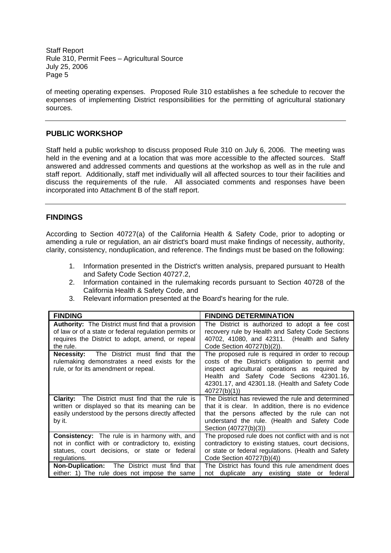of meeting operating expenses. Proposed Rule 310 establishes a fee schedule to recover the expenses of implementing District responsibilities for the permitting of agricultural stationary sources.

#### **PUBLIC WORKSHOP**

Staff held a public workshop to discuss proposed Rule 310 on July 6, 2006. The meeting was held in the evening and at a location that was more accessible to the affected sources. Staff answered and addressed comments and questions at the workshop as well as in the rule and staff report. Additionally, staff met individually will all affected sources to tour their facilities and discuss the requirements of the rule. All associated comments and responses have been incorporated into Attachment B of the staff report.

#### **FINDINGS**

According to Section 40727(a) of the California Health & Safety Code, prior to adopting or amending a rule or regulation, an air district's board must make findings of necessity, authority, clarity, consistency, nonduplication, and reference. The findings must be based on the following:

- 1. Information presented in the District's written analysis, prepared pursuant to Health and Safety Code Section 40727.2,
- 2. Information contained in the rulemaking records pursuant to Section 40728 of the California Health & Safety Code, and
- 3. Relevant information presented at the Board's hearing for the rule.

| <b>FINDING</b>                                                                                                                                 | <b>FINDING DETERMINATION</b>                                                                                                                                                                                                                                          |
|------------------------------------------------------------------------------------------------------------------------------------------------|-----------------------------------------------------------------------------------------------------------------------------------------------------------------------------------------------------------------------------------------------------------------------|
| <b>Authority:</b> The District must find that a provision                                                                                      | The District is authorized to adopt a fee cost                                                                                                                                                                                                                        |
| of law or of a state or federal regulation permits or                                                                                          | recovery rule by Health and Safety Code Sections                                                                                                                                                                                                                      |
| requires the District to adopt, amend, or repeal                                                                                               | 40702, 41080, and 42311. (Health and Safety                                                                                                                                                                                                                           |
| the rule.                                                                                                                                      | Code Section 40727(b)(2)).                                                                                                                                                                                                                                            |
| The District must find that the<br><b>Necessity:</b><br>rulemaking demonstrates a need exists for the<br>rule, or for its amendment or repeal. | The proposed rule is required in order to recoup<br>costs of the District's obligation to permit and<br>inspect agricultural operations as required by<br>Health and Safety Code Sections 42301.16,<br>42301.17, and 42301.18. (Health and Safety Code<br>40727(b)(1) |
| The District must find that the rule is                                                                                                        | The District has reviewed the rule and determined                                                                                                                                                                                                                     |
| <b>Clarity:</b>                                                                                                                                | that it is clear. In addition, there is no evidence                                                                                                                                                                                                                   |
| written or displayed so that its meaning can be                                                                                                | that the persons affected by the rule can not                                                                                                                                                                                                                         |
| easily understood by the persons directly affected                                                                                             | understand the rule. (Health and Safety Code                                                                                                                                                                                                                          |
| by it.                                                                                                                                         | Section (40727(b)(3))                                                                                                                                                                                                                                                 |
| <b>Consistency:</b> The rule is in harmony with, and                                                                                           | The proposed rule does not conflict with and is not                                                                                                                                                                                                                   |
| not in conflict with or contradictory to, existing                                                                                             | contradictory to existing statues, court decisions,                                                                                                                                                                                                                   |
| statues, court decisions, or state or federal                                                                                                  | or state or federal regulations. (Health and Safety                                                                                                                                                                                                                   |
| regulations.                                                                                                                                   | Code Section 40727(b)(4))                                                                                                                                                                                                                                             |
| Non-Duplication: The District must find that                                                                                                   | The District has found this rule amendment does                                                                                                                                                                                                                       |
| either: 1) The rule does not impose the same                                                                                                   | not duplicate any existing state or federal                                                                                                                                                                                                                           |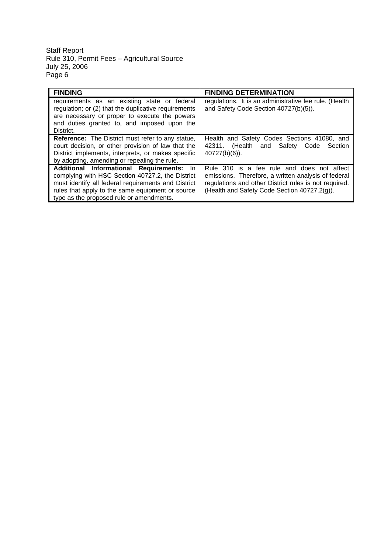| <b>FINDING</b>                                                                                                                                                                                                                                                   | <b>FINDING DETERMINATION</b>                                                                                                                                                                               |
|------------------------------------------------------------------------------------------------------------------------------------------------------------------------------------------------------------------------------------------------------------------|------------------------------------------------------------------------------------------------------------------------------------------------------------------------------------------------------------|
| requirements as an existing state or federal<br>regulation; or (2) that the duplicative requirements<br>are necessary or proper to execute the powers<br>and duties granted to, and imposed upon the<br>District.                                                | regulations. It is an administrative fee rule. (Health<br>and Safety Code Section 40727(b)(5)).                                                                                                            |
| <b>Reference:</b> The District must refer to any statue.<br>court decision, or other provision of law that the<br>District implements, interprets, or makes specific<br>by adopting, amending or repealing the rule.                                             | Health and Safety Codes Sections 41080, and<br>(Health and Safety<br>42311.<br>Code<br>Section<br>$40727(b)(6)$ ).                                                                                         |
| <b>Additional Informational Requirements:</b><br>- In<br>complying with HSC Section 40727.2, the District<br>must identify all federal requirements and District<br>rules that apply to the same equipment or source<br>type as the proposed rule or amendments. | Rule 310 is a fee rule and does not affect<br>emissions. Therefore, a written analysis of federal<br>regulations and other District rules is not required.<br>(Health and Safety Code Section 40727.2(g)). |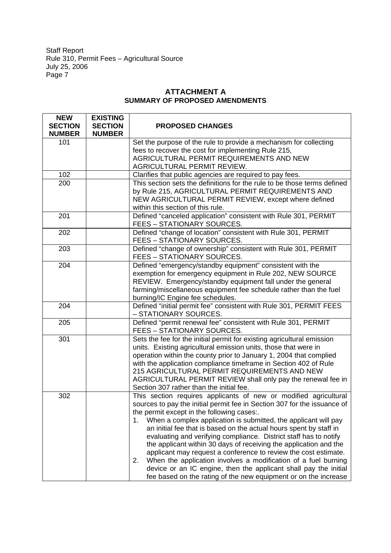## **ATTACHMENT A SUMMARY OF PROPOSED AMENDMENTS**

| <b>NEW</b><br><b>SECTION</b><br><b>NUMBER</b> | <b>EXISTING</b><br><b>SECTION</b><br><b>NUMBER</b> | <b>PROPOSED CHANGES</b>                                                                                                                                                                                                                                                                                                                                                                                                                                                                                                                                                                                                                                                                                                                                               |
|-----------------------------------------------|----------------------------------------------------|-----------------------------------------------------------------------------------------------------------------------------------------------------------------------------------------------------------------------------------------------------------------------------------------------------------------------------------------------------------------------------------------------------------------------------------------------------------------------------------------------------------------------------------------------------------------------------------------------------------------------------------------------------------------------------------------------------------------------------------------------------------------------|
| 101                                           |                                                    | Set the purpose of the rule to provide a mechanism for collecting<br>fees to recover the cost for implementing Rule 215,<br>AGRICULTURAL PERMIT REQUIREMENTS AND NEW<br>AGRICULTURAL PERMIT REVIEW.                                                                                                                                                                                                                                                                                                                                                                                                                                                                                                                                                                   |
| 102                                           |                                                    | Clarifies that public agencies are required to pay fees.                                                                                                                                                                                                                                                                                                                                                                                                                                                                                                                                                                                                                                                                                                              |
| 200                                           |                                                    | This section sets the definitions for the rule to be those terms defined<br>by Rule 215, AGRICULTURAL PERMIT REQUIREMENTS AND<br>NEW AGRICULTURAL PERMIT REVIEW, except where defined<br>within this section of this rule.                                                                                                                                                                                                                                                                                                                                                                                                                                                                                                                                            |
| 201                                           |                                                    | Defined "canceled application" consistent with Rule 301, PERMIT<br><b>FEES - STATIONARY SOURCES.</b>                                                                                                                                                                                                                                                                                                                                                                                                                                                                                                                                                                                                                                                                  |
| 202                                           |                                                    | Defined "change of location" consistent with Rule 301, PERMIT<br>FEES - STATIONARY SOURCES.                                                                                                                                                                                                                                                                                                                                                                                                                                                                                                                                                                                                                                                                           |
| 203                                           |                                                    | Defined "change of ownership" consistent with Rule 301, PERMIT<br><b>FEES - STATIONARY SOURCES.</b>                                                                                                                                                                                                                                                                                                                                                                                                                                                                                                                                                                                                                                                                   |
| 204                                           |                                                    | Defined "emergency/standby equipment" consistent with the<br>exemption for emergency equipment in Rule 202, NEW SOURCE<br>REVIEW. Emergency/standby equipment fall under the general<br>farming/miscellaneous equipment fee schedule rather than the fuel<br>burning/IC Engine fee schedules.                                                                                                                                                                                                                                                                                                                                                                                                                                                                         |
| 204                                           |                                                    | Defined "initial permit fee" consistent with Rule 301, PERMIT FEES<br>- STATIONARY SOURCES.                                                                                                                                                                                                                                                                                                                                                                                                                                                                                                                                                                                                                                                                           |
| 205                                           |                                                    | Defined "permit renewal fee" consistent with Rule 301, PERMIT<br>FEES - STATIONARY SOURCES.                                                                                                                                                                                                                                                                                                                                                                                                                                                                                                                                                                                                                                                                           |
| 301                                           |                                                    | Sets the fee for the initial permit for existing agricultural emission<br>units. Existing agricultural emission units, those that were in<br>operation within the county prior to January 1, 2004 that complied<br>with the application compliance timeframe in Section 402 of Rule<br>215 AGRICULTURAL PERMIT REQUIREMENTS AND NEW<br>AGRICULTURAL PERMIT REVIEW shall only pay the renewal fee in<br>Section 307 rather than the initial fee.                                                                                                                                                                                                                                                                                                                       |
| 302                                           |                                                    | This section requires applicants of new or modified agricultural<br>sources to pay the initial permit fee in Section 307 for the issuance of<br>the permit except in the following cases:.<br>When a complex application is submitted, the applicant will pay<br>1.<br>an initial fee that is based on the actual hours spent by staff in<br>evaluating and verifying compliance. District staff has to notify<br>the applicant within 30 days of receiving the application and the<br>applicant may request a conference to review the cost estimate.<br>When the application involves a modification of a fuel burning<br>2.<br>device or an IC engine, then the applicant shall pay the initial<br>fee based on the rating of the new equipment or on the increase |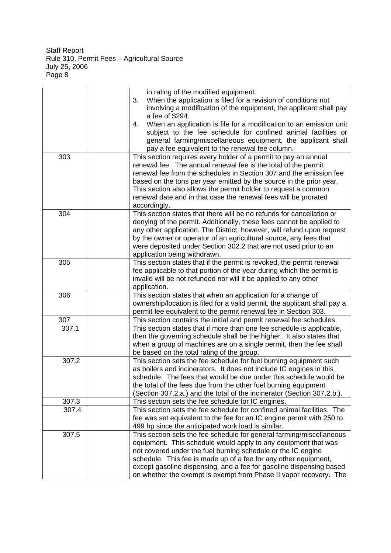|       | in rating of the modified equipment.                                                                                         |
|-------|------------------------------------------------------------------------------------------------------------------------------|
|       | When the application is filed for a revision of conditions not<br>3.                                                         |
|       | involving a modification of the equipment, the applicant shall pay                                                           |
|       | a fee of \$294.                                                                                                              |
|       | When an application is file for a modification to an emission unit<br>4.                                                     |
|       | subject to the fee schedule for confined animal facilities or                                                                |
|       | general farming/miscellaneous equipment, the applicant shall                                                                 |
|       | pay a fee equivalent to the renewal fee column.                                                                              |
| 303   | This section requires every holder of a permit to pay an annual                                                              |
|       | renewal fee. The annual renewal fee is the total of the permit                                                               |
|       | renewal fee from the schedules in Section 307 and the emission fee                                                           |
|       |                                                                                                                              |
|       | based on the tons per year emitted by the source in the prior year.                                                          |
|       | This section also allows the permit holder to request a common                                                               |
|       | renewal date and in that case the renewal fees will be prorated                                                              |
|       | accordingly.                                                                                                                 |
| 304   | This section states that there will be no refunds for cancellation or                                                        |
|       | denying of the permit. Additionally, these fees cannot be applied to                                                         |
|       | any other application. The District, however, will refund upon request                                                       |
|       | by the owner or operator of an agricultural source, any fees that                                                            |
|       | were deposited under Section 302.2 that are not used prior to an                                                             |
|       | application being withdrawn.                                                                                                 |
| 305   | This section states that if the permit is revoked, the permit renewal                                                        |
|       | fee applicable to that portion of the year during which the permit is                                                        |
|       | invalid will be not refunded nor will it be applied to any other                                                             |
|       | application.                                                                                                                 |
| 306   | This section states that when an application for a change of                                                                 |
|       | ownership/location is filed for a valid permit, the applicant shall pay a                                                    |
|       | permit fee equivalent to the permit renewal fee in Section 303.                                                              |
| 307   | This section contains the initial and permit renewal fee schedules.                                                          |
| 307.1 | This section states that if more than one fee schedule is applicable,                                                        |
|       | then the governing schedule shall be the higher. It also states that                                                         |
|       | when a group of machines are on a single permit, then the fee shall                                                          |
|       | be based on the total rating of the group.                                                                                   |
| 307.2 | This section sets the fee schedule for fuel burning equipment such                                                           |
|       | as boilers and incinerators. It does not include IC engines in this                                                          |
|       | schedule. The fees that would be due under this schedule would be                                                            |
|       | the total of the fees due from the other fuel burning equipment                                                              |
|       | (Section 307.2.a.) and the total of the incinerator (Section 307.2.b.).                                                      |
| 307.3 |                                                                                                                              |
|       | This section sets the fee schedule for IC engines.<br>This section sets the fee schedule for confined animal facilities. The |
| 307.4 |                                                                                                                              |
|       | fee was set equivalent to the fee for an IC engine permit with 250 to                                                        |
|       | 499 hp since the anticipated work load is similar.                                                                           |
| 307.5 | This section sets the fee schedule for general farming/miscellaneous                                                         |
|       | equipment. This schedule would apply to any equipment that was                                                               |
|       | not covered under the fuel burning schedule or the IC engine                                                                 |
|       | schedule. This fee is made up of a fee for any other equipment,                                                              |
|       | except gasoline dispensing, and a fee for gasoline dispensing based                                                          |
|       | on whether the exempt is exempt from Phase II vapor recovery. The                                                            |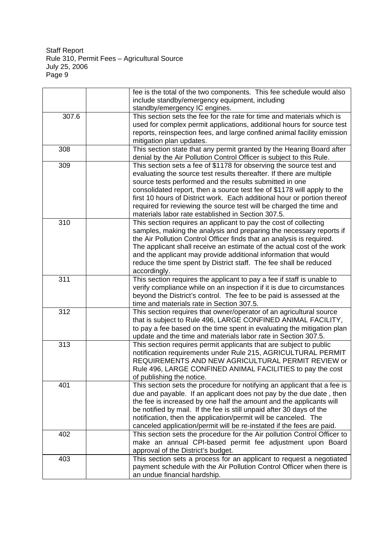|       | fee is the total of the two components. This fee schedule would also                                                      |
|-------|---------------------------------------------------------------------------------------------------------------------------|
|       | include standby/emergency equipment, including                                                                            |
|       | standby/emergency IC engines.                                                                                             |
| 307.6 | This section sets the fee for the rate for time and materials which is                                                    |
|       | used for complex permit applications, additional hours for source test                                                    |
|       | reports, reinspection fees, and large confined animal facility emission                                                   |
|       | mitigation plan updates.                                                                                                  |
| 308   | This section state that any permit granted by the Hearing Board after                                                     |
|       | denial by the Air Pollution Control Officer is subject to this Rule.                                                      |
| 309   | This section sets a fee of \$1178 for observing the source test and                                                       |
|       | evaluating the source test results thereafter. If there are multiple                                                      |
|       | source tests performed and the results submitted in one                                                                   |
|       | consolidated report, then a source test fee of \$1178 will apply to the                                                   |
|       | first 10 hours of District work. Each additional hour or portion thereof                                                  |
|       |                                                                                                                           |
|       | required for reviewing the source test will be charged the time and<br>materials labor rate established in Section 307.5. |
|       |                                                                                                                           |
| 310   | This section requires an applicant to pay the cost of collecting                                                          |
|       | samples, making the analysis and preparing the necessary reports if                                                       |
|       | the Air Pollution Control Officer finds that an analysis is required.                                                     |
|       | The applicant shall receive an estimate of the actual cost of the work                                                    |
|       | and the applicant may provide additional information that would                                                           |
|       | reduce the time spent by District staff. The fee shall be reduced                                                         |
|       | accordingly.                                                                                                              |
| 311   | This section requires the applicant to pay a fee if staff is unable to                                                    |
|       | verify compliance while on an inspection if it is due to circumstances                                                    |
|       | beyond the District's control. The fee to be paid is assessed at the                                                      |
|       | time and materials rate in Section 307.5.                                                                                 |
| 312   | This section requires that owner/operator of an agricultural source                                                       |
|       | that is subject to Rule 496, LARGE CONFINED ANIMAL FACILITY,                                                              |
|       | to pay a fee based on the time spent in evaluating the mitigation plan                                                    |
|       | update and the time and materials labor rate in Section 307.5.                                                            |
| 313   | This section requires permit applicants that are subject to public                                                        |
|       | notification requirements under Rule 215, AGRICULTURAL PERMIT                                                             |
|       | REQUIREMENTS AND NEW AGRICULTURAL PERMIT REVIEW or                                                                        |
|       | Rule 496, LARGE CONFINED ANIMAL FACILITIES to pay the cost                                                                |
|       | of publishing the notice.                                                                                                 |
| 401   | This section sets the procedure for notifying an applicant that a fee is                                                  |
|       | due and payable. If an applicant does not pay by the due date, then                                                       |
|       | the fee is increased by one half the amount and the applicants will                                                       |
|       | be notified by mail. If the fee is still unpaid after 30 days of the                                                      |
|       | notification, then the application/permit will be canceled. The                                                           |
|       | canceled application/permit will be re-instated if the fees are paid.                                                     |
| 402   | This section sets the procedure for the Air pollution Control Officer to                                                  |
|       | make an annual CPI-based permit fee adjustment upon Board                                                                 |
|       | approval of the District's budget.                                                                                        |
|       |                                                                                                                           |
| 403   | This section sets a process for an applicant to request a negotiated                                                      |
|       | payment schedule with the Air Pollution Control Officer when there is                                                     |
|       | an undue financial hardship.                                                                                              |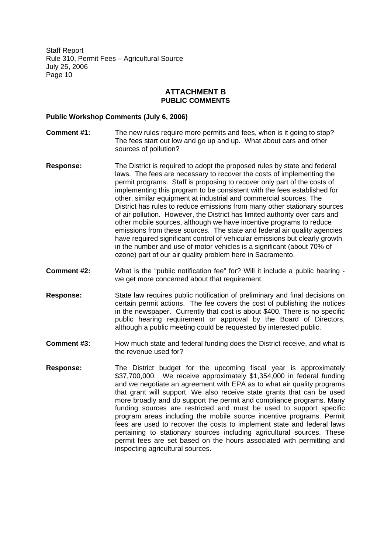#### **ATTACHMENT B PUBLIC COMMENTS**

#### **Public Workshop Comments (July 6, 2006)**

- **Comment #1:** The new rules require more permits and fees, when is it going to stop? The fees start out low and go up and up. What about cars and other sources of pollution?
- **Response:** The District is required to adopt the proposed rules by state and federal laws. The fees are necessary to recover the costs of implementing the permit programs. Staff is proposing to recover only part of the costs of implementing this program to be consistent with the fees established for other, similar equipment at industrial and commercial sources. The District has rules to reduce emissions from many other stationary sources of air pollution. However, the District has limited authority over cars and other mobile sources, although we have incentive programs to reduce emissions from these sources. The state and federal air quality agencies have required significant control of vehicular emissions but clearly growth in the number and use of motor vehicles is a significant (about 70% of ozone) part of our air quality problem here in Sacramento.
- **Comment #2:** What is the "public notification fee" for? Will it include a public hearing we get more concerned about that requirement.
- **Response:** State law requires public notification of preliminary and final decisions on certain permit actions. The fee covers the cost of publishing the notices in the newspaper. Currently that cost is about \$400. There is no specific public hearing requirement or approval by the Board of Directors, although a public meeting could be requested by interested public.
- **Comment #3:** How much state and federal funding does the District receive, and what is the revenue used for?
- **Response:** The District budget for the upcoming fiscal year is approximately \$37,700,000. We receive approximately \$1,354,000 in federal funding and we negotiate an agreement with EPA as to what air quality programs that grant will support. We also receive state grants that can be used more broadly and do support the permit and compliance programs. Many funding sources are restricted and must be used to support specific program areas including the mobile source incentive programs. Permit fees are used to recover the costs to implement state and federal laws pertaining to stationary sources including agricultural sources. These permit fees are set based on the hours associated with permitting and inspecting agricultural sources.